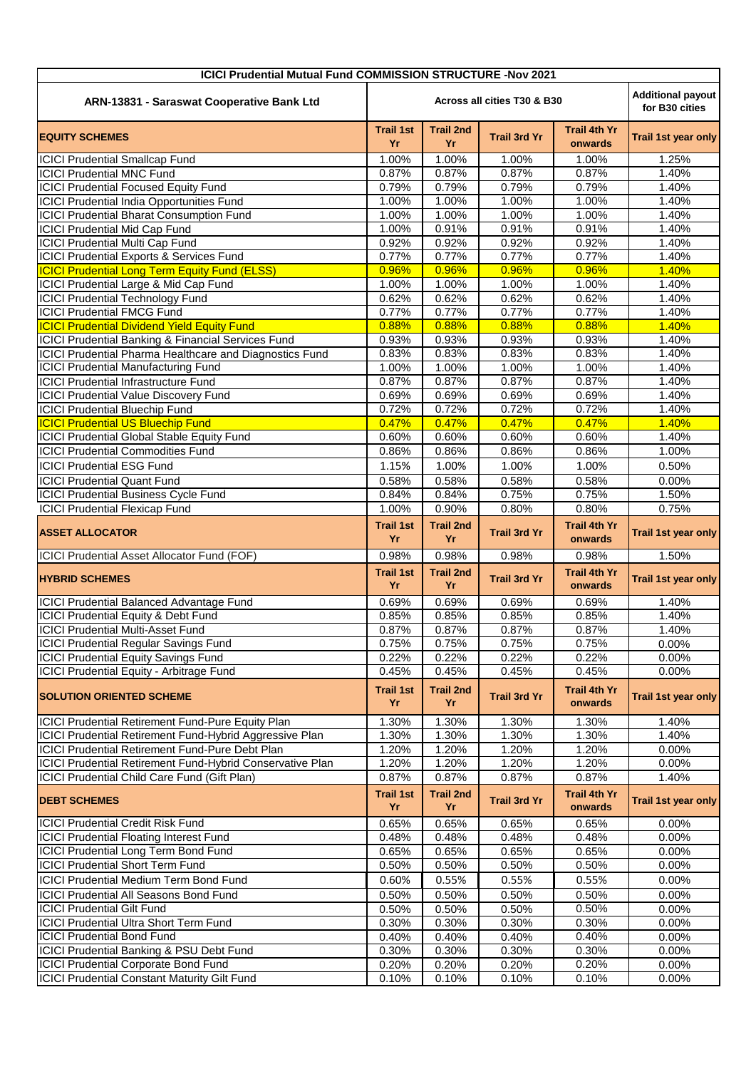| <b>ICICI Prudential Mutual Fund COMMISSION STRUCTURE -Nov 2021</b> |                                                                           |                        |                     |                                |                            |  |  |  |
|--------------------------------------------------------------------|---------------------------------------------------------------------------|------------------------|---------------------|--------------------------------|----------------------------|--|--|--|
| ARN-13831 - Saraswat Cooperative Bank Ltd                          | <b>Additional payout</b><br>Across all cities T30 & B30<br>for B30 cities |                        |                     |                                |                            |  |  |  |
| <b>EQUITY SCHEMES</b>                                              | <b>Trail 1st</b><br>Yr                                                    | <b>Trail 2nd</b><br>Yr | <b>Trail 3rd Yr</b> | <b>Trail 4th Yr</b><br>onwards | Trail 1st year only        |  |  |  |
| <b>ICICI Prudential Smallcap Fund</b>                              | 1.00%                                                                     | 1.00%                  | 1.00%               | 1.00%                          | 1.25%                      |  |  |  |
| <b>ICICI Prudential MNC Fund</b>                                   | 0.87%                                                                     | 0.87%                  | 0.87%               | 0.87%                          | 1.40%                      |  |  |  |
| <b>ICICI Prudential Focused Equity Fund</b>                        | 0.79%                                                                     | 0.79%                  | 0.79%               | 0.79%                          | 1.40%                      |  |  |  |
| <b>ICICI Prudential India Opportunities Fund</b>                   | 1.00%                                                                     | 1.00%                  | 1.00%               | 1.00%                          | 1.40%                      |  |  |  |
| <b>ICICI Prudential Bharat Consumption Fund</b>                    | 1.00%                                                                     | 1.00%                  | 1.00%               | 1.00%                          | 1.40%                      |  |  |  |
| <b>ICICI Prudential Mid Cap Fund</b>                               | 1.00%                                                                     | 0.91%                  | 0.91%               | 0.91%                          | 1.40%                      |  |  |  |
| <b>ICICI Prudential Multi Cap Fund</b>                             | 0.92%                                                                     | 0.92%                  | 0.92%               | 0.92%                          | 1.40%                      |  |  |  |
| ICICI Prudential Exports & Services Fund                           | 0.77%                                                                     | 0.77%                  | 0.77%               | 0.77%                          | 1.40%                      |  |  |  |
| <b>ICICI Prudential Long Term Equity Fund (ELSS)</b>               | 0.96%                                                                     | 0.96%                  | 0.96%               | 0.96%                          | 1.40%                      |  |  |  |
| ICICI Prudential Large & Mid Cap Fund                              | 1.00%                                                                     | 1.00%                  | 1.00%               | 1.00%                          | 1.40%                      |  |  |  |
| <b>ICICI Prudential Technology Fund</b>                            | 0.62%                                                                     | 0.62%                  | 0.62%               | 0.62%                          | 1.40%                      |  |  |  |
| <b>ICICI Prudential FMCG Fund</b>                                  | 0.77%                                                                     | 0.77%                  | 0.77%               | 0.77%                          | 1.40%                      |  |  |  |
| <b>ICICI Prudential Dividend Yield Equity Fund</b>                 | 0.88%                                                                     | 0.88%                  | 0.88%               | 0.88%                          | 1.40%                      |  |  |  |
| ICICI Prudential Banking & Financial Services Fund                 | 0.93%                                                                     | 0.93%                  | 0.93%               | 0.93%                          | 1.40%                      |  |  |  |
| ICICI Prudential Pharma Healthcare and Diagnostics Fund            | 0.83%                                                                     | 0.83%                  | 0.83%               | 0.83%                          | 1.40%                      |  |  |  |
| <b>ICICI Prudential Manufacturing Fund</b>                         | 1.00%                                                                     | 1.00%                  | 1.00%               | 1.00%                          | 1.40%                      |  |  |  |
| <b>ICICI Prudential Infrastructure Fund</b>                        | 0.87%                                                                     | 0.87%                  | 0.87%               | 0.87%                          | 1.40%                      |  |  |  |
| <b>ICICI Prudential Value Discovery Fund</b>                       | 0.69%                                                                     | 0.69%                  | 0.69%               | 0.69%                          | 1.40%                      |  |  |  |
| <b>ICICI Prudential Bluechip Fund</b>                              | 0.72%                                                                     | 0.72%                  | 0.72%               | 0.72%                          | 1.40%                      |  |  |  |
| <b>ICICI Prudential US Bluechip Fund</b>                           | 0.47%                                                                     | 0.47%                  | 0.47%               | 0.47%                          | 1.40%                      |  |  |  |
| ICICI Prudential Global Stable Equity Fund                         | 0.60%                                                                     | 0.60%                  | 0.60%               | 0.60%                          | 1.40%                      |  |  |  |
| <b>ICICI Prudential Commodities Fund</b>                           | 0.86%                                                                     | 0.86%                  | 0.86%               | 0.86%                          | 1.00%                      |  |  |  |
| <b>ICICI Prudential ESG Fund</b>                                   | 1.15%                                                                     | 1.00%                  | 1.00%               | 1.00%                          | 0.50%                      |  |  |  |
| <b>ICICI Prudential Quant Fund</b>                                 | 0.58%                                                                     | 0.58%                  | 0.58%               | 0.58%                          | 0.00%                      |  |  |  |
| <b>ICICI Prudential Business Cycle Fund</b>                        | 0.84%                                                                     | 0.84%                  | 0.75%               | 0.75%                          | 1.50%                      |  |  |  |
| <b>ICICI Prudential Flexicap Fund</b>                              | 1.00%                                                                     | 0.90%                  | 0.80%               | 0.80%                          | 0.75%                      |  |  |  |
|                                                                    |                                                                           |                        |                     |                                |                            |  |  |  |
| <b>ASSET ALLOCATOR</b>                                             | <b>Trail 1st</b><br>Yr                                                    | <b>Trail 2nd</b><br>Yr | <b>Trail 3rd Yr</b> | <b>Trail 4th Yr</b><br>onwards | Trail 1st year only        |  |  |  |
| ICICI Prudential Asset Allocator Fund (FOF)                        | 0.98%                                                                     | 0.98%                  | 0.98%               | 0.98%                          | 1.50%                      |  |  |  |
| <b>HYBRID SCHEMES</b>                                              | <b>Trail 1st</b><br>Yr                                                    | <b>Trail 2nd</b><br>Yr | <b>Trail 3rd Yr</b> | <b>Trail 4th Yr</b><br>onwards | <b>Trail 1st year only</b> |  |  |  |
| <b>ICICI Prudential Balanced Advantage Fund</b>                    | 0.69%                                                                     | 0.69%                  | 0.69%               | 0.69%                          | 1.40%                      |  |  |  |
| <b>ICICI Prudential Equity &amp; Debt Fund</b>                     | 0.85%                                                                     | 0.85%                  | 0.85%               | 0.85%                          | 1.40%                      |  |  |  |
| <b>ICICI Prudential Multi-Asset Fund</b>                           | 0.87%                                                                     | 0.87%                  | 0.87%               | 0.87%                          | 1.40%                      |  |  |  |
| <b>ICICI Prudential Regular Savings Fund</b>                       | 0.75%                                                                     | 0.75%                  | 0.75%               | 0.75%                          | 0.00%                      |  |  |  |
| <b>ICICI Prudential Equity Savings Fund</b>                        | 0.22%                                                                     | 0.22%                  | 0.22%               | 0.22%                          | 0.00%                      |  |  |  |
| ICICI Prudential Equity - Arbitrage Fund                           | 0.45%                                                                     | 0.45%                  | 0.45%               | 0.45%                          | 0.00%                      |  |  |  |
|                                                                    |                                                                           |                        |                     |                                |                            |  |  |  |
| <b>SOLUTION ORIENTED SCHEME</b>                                    | <b>Trail 1st</b><br>Yr                                                    | <b>Trail 2nd</b><br>Yr | <b>Trail 3rd Yr</b> | <b>Trail 4th Yr</b><br>onwards | <b>Trail 1st year only</b> |  |  |  |
| ICICI Prudential Retirement Fund-Pure Equity Plan                  | 1.30%                                                                     | 1.30%                  | 1.30%               | 1.30%                          | 1.40%                      |  |  |  |
| ICICI Prudential Retirement Fund-Hybrid Aggressive Plan            | 1.30%                                                                     | 1.30%                  | 1.30%               | 1.30%                          | 1.40%                      |  |  |  |
| <b>ICICI Prudential Retirement Fund-Pure Debt Plan</b>             | 1.20%                                                                     | 1.20%                  | 1.20%               | 1.20%                          | 0.00%                      |  |  |  |
| ICICI Prudential Retirement Fund-Hybrid Conservative Plan          | 1.20%                                                                     | 1.20%                  | 1.20%               | 1.20%                          | 0.00%                      |  |  |  |
| ICICI Prudential Child Care Fund (Gift Plan)                       | 0.87%                                                                     | 0.87%                  | 0.87%               | 0.87%                          | 1.40%                      |  |  |  |
| <b>DEBT SCHEMES</b>                                                | <b>Trail 1st</b><br>Yr                                                    | <b>Trail 2nd</b><br>Yr | <b>Trail 3rd Yr</b> | <b>Trail 4th Yr</b><br>onwards | Trail 1st year only        |  |  |  |
| <b>ICICI Prudential Credit Risk Fund</b>                           | 0.65%                                                                     | 0.65%                  | 0.65%               | 0.65%                          | 0.00%                      |  |  |  |
| <b>ICICI Prudential Floating Interest Fund</b>                     | 0.48%                                                                     | 0.48%                  | 0.48%               | 0.48%                          | 0.00%                      |  |  |  |
| ICICI Prudential Long Term Bond Fund                               | 0.65%                                                                     | 0.65%                  | 0.65%               | 0.65%                          | 0.00%                      |  |  |  |
| <b>ICICI Prudential Short Term Fund</b>                            | 0.50%                                                                     | 0.50%                  | 0.50%               | 0.50%                          | 0.00%                      |  |  |  |
| ICICI Prudential Medium Term Bond Fund                             | 0.60%                                                                     | 0.55%                  | 0.55%               | 0.55%                          | 0.00%                      |  |  |  |
| <b>ICICI Prudential All Seasons Bond Fund</b>                      | 0.50%                                                                     | 0.50%                  | 0.50%               | 0.50%                          | 0.00%                      |  |  |  |
| <b>ICICI Prudential Gilt Fund</b>                                  | 0.50%                                                                     | 0.50%                  | 0.50%               | 0.50%                          | 0.00%                      |  |  |  |
| <b>ICICI Prudential Ultra Short Term Fund</b>                      | 0.30%                                                                     | 0.30%                  | 0.30%               | 0.30%                          | 0.00%                      |  |  |  |
| <b>ICICI Prudential Bond Fund</b>                                  |                                                                           | 0.40%                  | 0.40%               | 0.40%                          | 0.00%                      |  |  |  |
| <b>ICICI Prudential Banking &amp; PSU Debt Fund</b>                | 0.40%<br>0.30%                                                            | 0.30%                  | 0.30%               | 0.30%                          | 0.00%                      |  |  |  |
| <b>ICICI Prudential Corporate Bond Fund</b>                        | 0.20%                                                                     | 0.20%                  | 0.20%               | 0.20%                          | 0.00%                      |  |  |  |
| <b>ICICI Prudential Constant Maturity Gilt Fund</b>                | 0.10%                                                                     | 0.10%                  | 0.10%               | 0.10%                          | 0.00%                      |  |  |  |
|                                                                    |                                                                           |                        |                     |                                |                            |  |  |  |